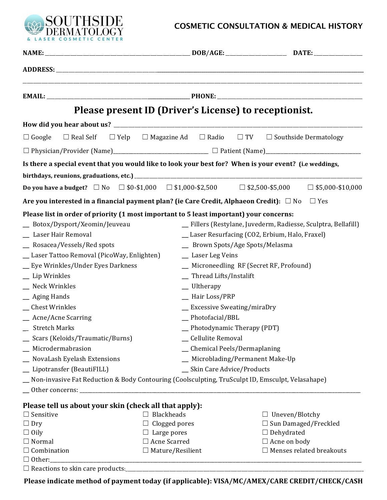

## **COSMETIC CONSULTATION & MEDICAL HISTORY**

|                                                                                                                                                                                                                                                                                                                                                                                                                                                                       | Please present ID (Driver's License) to receptionist.                                                                                                                                                                                                          |                                                                                                                                                               |  |
|-----------------------------------------------------------------------------------------------------------------------------------------------------------------------------------------------------------------------------------------------------------------------------------------------------------------------------------------------------------------------------------------------------------------------------------------------------------------------|----------------------------------------------------------------------------------------------------------------------------------------------------------------------------------------------------------------------------------------------------------------|---------------------------------------------------------------------------------------------------------------------------------------------------------------|--|
|                                                                                                                                                                                                                                                                                                                                                                                                                                                                       |                                                                                                                                                                                                                                                                |                                                                                                                                                               |  |
| $\Box$ Real Self<br>$\Box$ Google                                                                                                                                                                                                                                                                                                                                                                                                                                     |                                                                                                                                                                                                                                                                | $\Box$ Yelp $\Box$ Magazine Ad $\Box$ Radio $\Box$ TV $\Box$ Southside Dermatology                                                                            |  |
|                                                                                                                                                                                                                                                                                                                                                                                                                                                                       |                                                                                                                                                                                                                                                                |                                                                                                                                                               |  |
| Is there a special event that you would like to look your best for? When is your event? (i.e weddings,                                                                                                                                                                                                                                                                                                                                                                |                                                                                                                                                                                                                                                                |                                                                                                                                                               |  |
|                                                                                                                                                                                                                                                                                                                                                                                                                                                                       |                                                                                                                                                                                                                                                                |                                                                                                                                                               |  |
|                                                                                                                                                                                                                                                                                                                                                                                                                                                                       |                                                                                                                                                                                                                                                                | Do you have a budget? $\Box$ No $\Box$ \$0-\$1,000 $\Box$ \$1,000-\$2,500 $\Box$ \$2,500-\$5,000 $\Box$ \$5,000-\$10,000                                      |  |
| Are you interested in a financial payment plan? (ie Care Credit, Alphaeon Credit): $\Box$ No $\Box$ Yes                                                                                                                                                                                                                                                                                                                                                               |                                                                                                                                                                                                                                                                |                                                                                                                                                               |  |
| Please list in order of priority (1 most important to 5 least important) your concerns:<br>Botox/Dysport/Xeomin/Jeuveau<br>_ Laser Hair Removal<br>_ Rosacea/Vessels/Red spots<br>_ Laser Tattoo Removal (PicoWay, Enlighten)<br>_ Eye Wrinkles/Under Eyes Darkness<br>_ Lip Wrinkles<br>$\equiv$ Neck Wrinkles<br>_ Aging Hands<br><b>Chest Wrinkles</b><br>_ Acne/Acne Scarring<br><b>Stretch Marks</b><br>_ Scars (Keloids/Traumatic/Burns)<br>_ Microdermabrasion | _ Brown Spots/Age Spots/Melasma<br>_ Laser Leg Veins<br>_ Thread Lifts/Instalift<br>$\_$ Ultherapy<br>- Hair Loss/PRP<br>_ Excessive Sweating/miraDry<br>_Photofacial/BBL<br>Photodynamic Therapy (PDT)<br>_Cellulite Removal<br>_ Chemical Peels/Dermaplaning | _ Fillers (Restylane, Juvederm, Radiesse, Sculptra, Bellafill)<br>_ Laser Resurfacing (CO2, Erbium, Halo, Fraxel)<br>_ Microneedling RF (Secret RF, Profound) |  |
| _ NovaLash Eyelash Extensions                                                                                                                                                                                                                                                                                                                                                                                                                                         |                                                                                                                                                                                                                                                                | _ Microblading/Permanent Make-Up                                                                                                                              |  |
| _ Lipotransfer (BeautiFILL)<br>_ Non-invasive Fat Reduction & Body Contouring (Coolsculpting, TruSculpt ID, Emsculpt, Velasahape)                                                                                                                                                                                                                                                                                                                                     | _ Skin Care Advice/Products                                                                                                                                                                                                                                    |                                                                                                                                                               |  |
| Please tell us about your skin (check all that apply):<br>$\Box$ Sensitive<br>$\Box$ Dry<br>$\Box$ Oily<br>$\Box$ Normal<br>$\Box$ Combination<br>$\Box$ Other:                                                                                                                                                                                                                                                                                                       | $\Box$ Blackheads<br>$\Box$ Clogged pores<br>$\Box$ Large pores<br>□ Acne Scarred<br>$\Box$ Mature/Resilient                                                                                                                                                   | $\Box$ Uneven/Blotchy<br>$\Box$ Sun Damaged/Freckled<br>$\Box$ Dehydrated<br>$\Box$ Acne on body<br>$\Box$ Menses related breakouts                           |  |
|                                                                                                                                                                                                                                                                                                                                                                                                                                                                       |                                                                                                                                                                                                                                                                |                                                                                                                                                               |  |

Please indicate method of payment today (if applicable): VISA/MC/AMEX/CARE CREDIT/CHECK/CASH